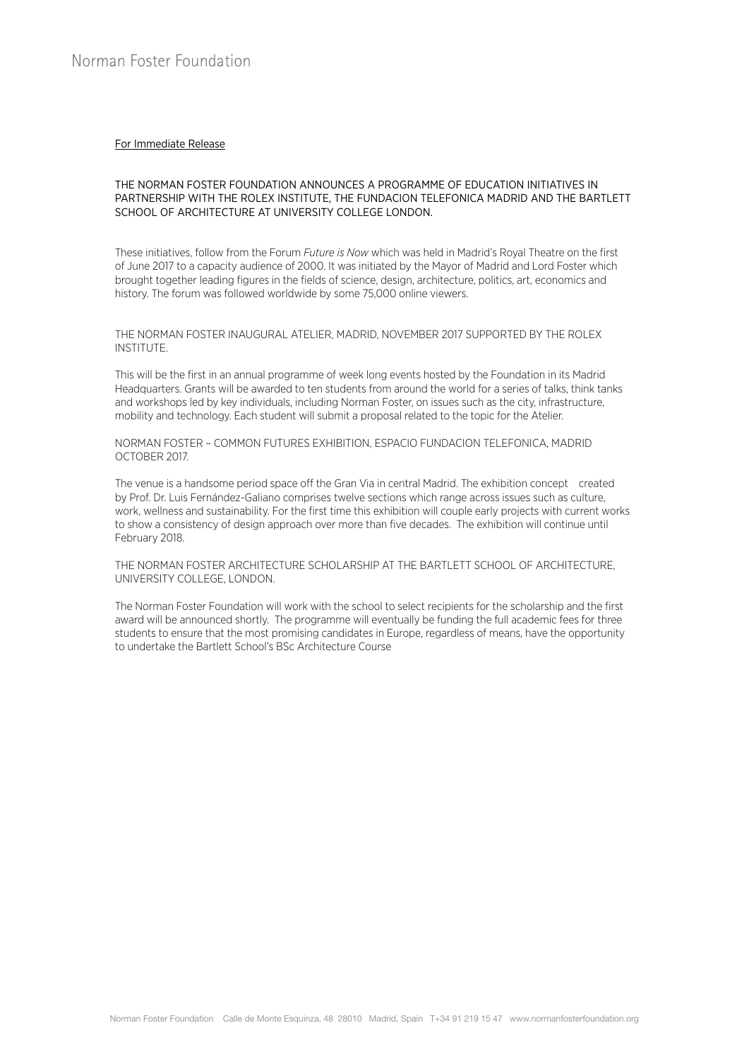#### For Immediate Release

### THE NORMAN FOSTER FOUNDATION ANNOUNCES A PROGRAMME OF EDUCATION INITIATIVES IN PARTNERSHIP WITH THE ROLEX INSTITUTE, THE FUNDACION TELEFONICA MADRID AND THE BARTLETT SCHOOL OF ARCHITECTURE AT UNIVERSITY COLLEGE LONDON.

These initiatives, follow from the Forum *Future is Now* which was held in Madrid's Royal Theatre on the first of June 2017 to a capacity audience of 2000. It was initiated by the Mayor of Madrid and Lord Foster which brought together leading figures in the fields of science, design, architecture, politics, art, economics and history. The forum was followed worldwide by some 75,000 online viewers.

THE NORMAN FOSTER INAUGURAL ATELIER, MADRID, NOVEMBER 2017 SUPPORTED BY THE ROLEX INSTITUTE.

This will be the first in an annual programme of week long events hosted by the Foundation in its Madrid Headquarters. Grants will be awarded to ten students from around the world for a series of talks, think tanks and workshops led by key individuals, including Norman Foster, on issues such as the city, infrastructure, mobility and technology. Each student will submit a proposal related to the topic for the Atelier.

NORMAN FOSTER – COMMON FUTURES EXHIBITION, ESPACIO FUNDACION TELEFONICA, MADRID OCTOBER 2017.

The venue is a handsome period space off the Gran Via in central Madrid. The exhibition concept created by Prof. Dr. Luis Fernández-Galiano comprises twelve sections which range across issues such as culture, work, wellness and sustainability. For the first time this exhibition will couple early projects with current works to show a consistency of design approach over more than five decades. The exhibition will continue until February 2018.

THE NORMAN FOSTER ARCHITECTURE SCHOLARSHIP AT THE BARTLETT SCHOOL OF ARCHITECTURE, UNIVERSITY COLLEGE, LONDON.

The Norman Foster Foundation will work with the school to select recipients for the scholarship and the first award will be announced shortly. The programme will eventually be funding the full academic fees for three students to ensure that the most promising candidates in Europe, regardless of means, have the opportunity to undertake the Bartlett School's BSc Architecture Course